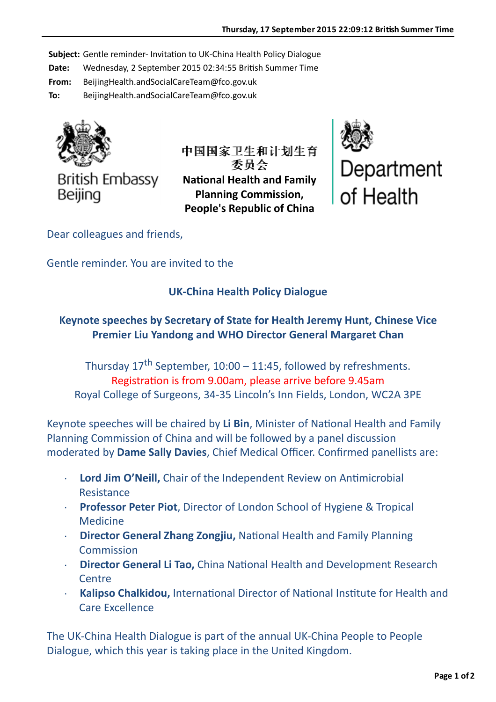**Subject:** Gentle reminder- Invitation to UK-China Health Policy Dialogue

**Date:** Wednesday, 2 September 2015 02:34:55 British Summer Time

**From:** BeijingHealth.andSocialCareTeam@fco.gov.uk

**To:** BeijingHealth.andSocialCareTeam@fco.gov.uk



**British Embassy** Beijing

中国国家卫生和计划生育 中国国家卫生和计划生育 委员会 委员会 **National Health and Family Planning Commission, People's Republic of China** 



Dear colleagues and friends,

Gentle reminder. You are invited to the

## **UK-China Health Policy Dialogue**

## **Keynote speeches by Secretary of State for Health Jeremy Hunt, Chinese Vice Premier Liu Yandong and WHO Director General Margaret Chan**

Thursday  $17<sup>th</sup>$  September,  $10:00 - 11:45$ , followed by refreshments. Registration is from 9.00am, please arrive before 9.45am Royal College of Surgeons, 34-35 Lincoln's Inn Fields, London, WC2A 3PE

Keynote speeches will be chaired by Li Bin, Minister of National Health and Family Planning Commission of China and will be followed by a panel discussion moderated by **Dame Sally Davies**, Chief Medical Officer. Confirmed panellists are:

- **Lord Jim O'Neill,** Chair of the Independent Review on Antimicrobial Resistance
- **Professor Peter Piot**, Director of London School of Hygiene & Tropical Medicine
- **Director General Zhang Zongjiu, National Health and Family Planning Commission**
- **Director General Li Tao, China National Health and Development Research Centre**
- Kalipso Chalkidou, International Director of National Institute for Health and Care Excellence

The UK-China Health Dialogue is part of the annual UK-China People to People Dialogue, which this year is taking place in the United Kingdom.